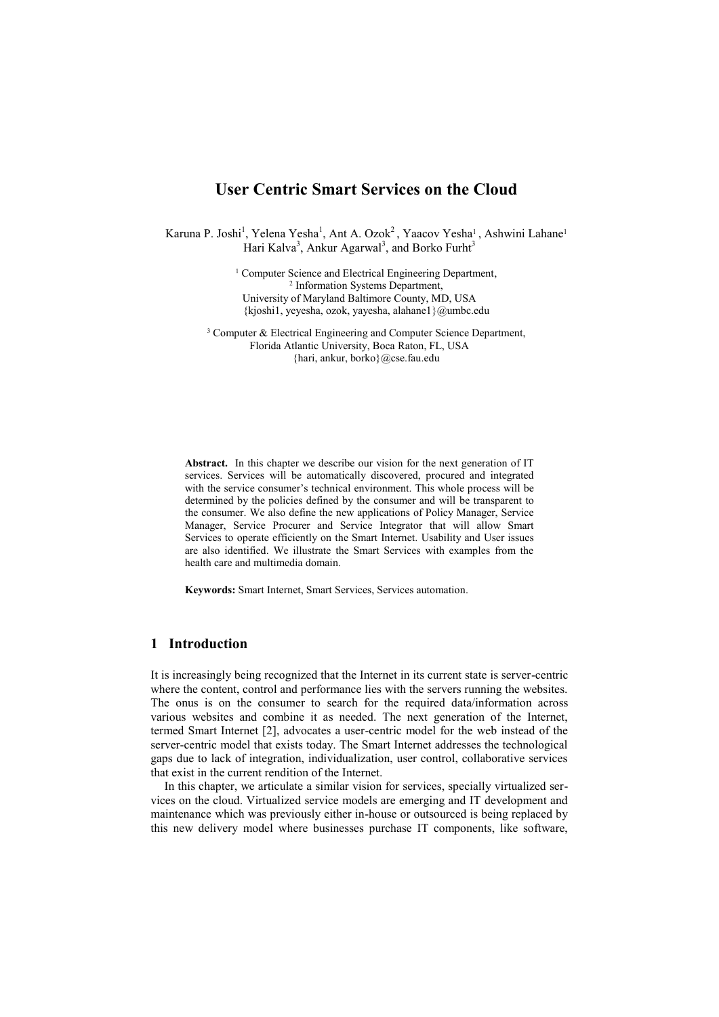# **User Centric Smart Services on the Cloud**

Karuna P. Joshi<sup>1</sup>, Yelena Yesha<sup>1</sup>, Ant A. Ozok<sup>2</sup>, Yaacov Yesha<sup>1</sup>, Ashwini Lahane<sup>1</sup> Hari Kalva<sup>3</sup>, Ankur Agarwal<sup>3</sup>, and Borko Furht<sup>3</sup>

> <sup>1</sup> Computer Science and Electrical Engineering Department, 2 Information Systems Department, University of Maryland Baltimore County, MD, USA {kjoshi1, yeyesha, ozok, yayesha, alahane1}@umbc.edu

<sup>3</sup> Computer & Electrical Engineering and Computer Science Department, Florida Atlantic University, Boca Raton, FL, USA {hari, ankur, borko}@cse.fau.edu

Abstract. In this chapter we describe our vision for the next generation of IT services. Services will be automatically discovered, procured and integrated with the service consumer's technical environment. This whole process will be determined by the policies defined by the consumer and will be transparent to the consumer. We also define the new applications of Policy Manager, Service Manager, Service Procurer and Service Integrator that will allow Smart Services to operate efficiently on the Smart Internet. Usability and User issues are also identified. We illustrate the Smart Services with examples from the health care and multimedia domain.

**Keywords:** Smart Internet, Smart Services, Services automation.

# **1 Introduction**

It is increasingly being recognized that the Internet in its current state is server-centric where the content, control and performance lies with the servers running the websites. The onus is on the consumer to search for the required data/information across various websites and combine it as needed. The next generation of the Internet, termed Smart Internet [2], advocates a user-centric model for the web instead of the server-centric model that exists today. The Smart Internet addresses the technological gaps due to lack of integration, individualization, user control, collaborative services that exist in the current rendition of the Internet.

In this chapter, we articulate a similar vision for services, specially virtualized services on the cloud. Virtualized service models are emerging and IT development and maintenance which was previously either in-house or outsourced is being replaced by this new delivery model where businesses purchase IT components, like software,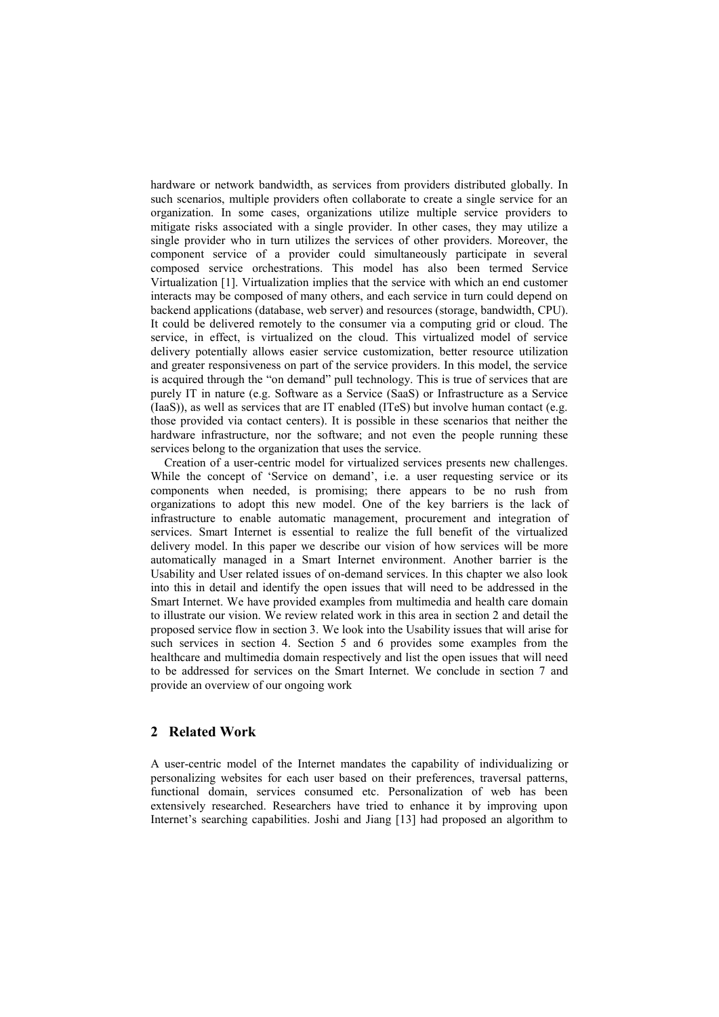hardware or network bandwidth, as services from providers distributed globally. In such scenarios, multiple providers often collaborate to create a single service for an organization. In some cases, organizations utilize multiple service providers to mitigate risks associated with a single provider. In other cases, they may utilize a single provider who in turn utilizes the services of other providers. Moreover, the component service of a provider could simultaneously participate in several composed service orchestrations. This model has also been termed Service Virtualization [1]. Virtualization implies that the service with which an end customer interacts may be composed of many others, and each service in turn could depend on backend applications (database, web server) and resources (storage, bandwidth, CPU). It could be delivered remotely to the consumer via a computing grid or cloud. The service, in effect, is virtualized on the cloud. This virtualized model of service delivery potentially allows easier service customization, better resource utilization and greater responsiveness on part of the service providers. In this model, the service is acquired through the "on demand" pull technology. This is true of services that are purely IT in nature (e.g. Software as a Service (SaaS) or Infrastructure as a Service (IaaS)), as well as services that are IT enabled (ITeS) but involve human contact (e.g. those provided via contact centers). It is possible in these scenarios that neither the hardware infrastructure, nor the software; and not even the people running these services belong to the organization that uses the service.

Creation of a user-centric model for virtualized services presents new challenges. While the concept of 'Service on demand', i.e. a user requesting service or its components when needed, is promising; there appears to be no rush from organizations to adopt this new model. One of the key barriers is the lack of infrastructure to enable automatic management, procurement and integration of services. Smart Internet is essential to realize the full benefit of the virtualized delivery model. In this paper we describe our vision of how services will be more automatically managed in a Smart Internet environment. Another barrier is the Usability and User related issues of on-demand services. In this chapter we also look into this in detail and identify the open issues that will need to be addressed in the Smart Internet. We have provided examples from multimedia and health care domain to illustrate our vision. We review related work in this area in section 2 and detail the proposed service flow in section 3. We look into the Usability issues that will arise for such services in section 4. Section 5 and 6 provides some examples from the healthcare and multimedia domain respectively and list the open issues that will need to be addressed for services on the Smart Internet. We conclude in section 7 and provide an overview of our ongoing work

# **2 Related Work**

A user-centric model of the Internet mandates the capability of individualizing or personalizing websites for each user based on their preferences, traversal patterns, functional domain, services consumed etc. Personalization of web has been extensively researched. Researchers have tried to enhance it by improving upon Internet's searching capabilities. Joshi and Jiang [13] had proposed an algorithm to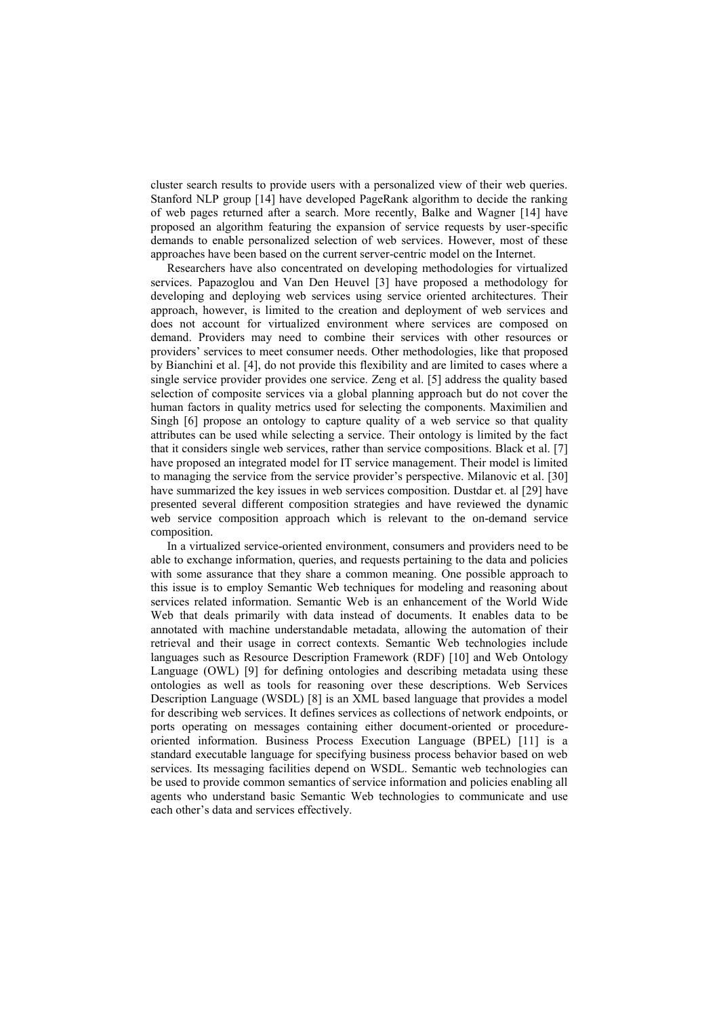cluster search results to provide users with a personalized view of their web queries. Stanford NLP group [14] have developed PageRank algorithm to decide the ranking of web pages returned after a search. More recently, Balke and Wagner [14] have proposed an algorithm featuring the expansion of service requests by user-specific demands to enable personalized selection of web services. However, most of these approaches have been based on the current server-centric model on the Internet.

Researchers have also concentrated on developing methodologies for virtualized services. Papazoglou and Van Den Heuvel [3] have proposed a methodology for developing and deploying web services using service oriented architectures. Their approach, however, is limited to the creation and deployment of web services and does not account for virtualized environment where services are composed on demand. Providers may need to combine their services with other resources or providers" services to meet consumer needs. Other methodologies, like that proposed by Bianchini et al. [4], do not provide this flexibility and are limited to cases where a single service provider provides one service. Zeng et al. [5] address the quality based selection of composite services via a global planning approach but do not cover the human factors in quality metrics used for selecting the components. Maximilien and Singh [6] propose an ontology to capture quality of a web service so that quality attributes can be used while selecting a service. Their ontology is limited by the fact that it considers single web services, rather than service compositions. Black et al. [7] have proposed an integrated model for IT service management. Their model is limited to managing the service from the service provider's perspective. Milanovic et al. [30] have summarized the key issues in web services composition. Dustdar et. al [29] have presented several different composition strategies and have reviewed the dynamic web service composition approach which is relevant to the on-demand service composition.

In a virtualized service-oriented environment, consumers and providers need to be able to exchange information, queries, and requests pertaining to the data and policies with some assurance that they share a common meaning. One possible approach to this issue is to employ Semantic Web techniques for modeling and reasoning about services related information. Semantic Web is an enhancement of the World Wide Web that deals primarily with data instead of documents. It enables data to be annotated with machine understandable metadata, allowing the automation of their retrieval and their usage in correct contexts. Semantic Web technologies include languages such as Resource Description Framework (RDF) [10] and Web Ontology Language (OWL) [9] for defining ontologies and describing metadata using these ontologies as well as tools for reasoning over these descriptions. Web Services Description Language (WSDL) [8] is an XML based language that provides a model for describing web services. It defines services as collections of network endpoints, or ports operating on messages containing either document-oriented or procedureoriented information. Business Process Execution Language (BPEL) [11] is a standard executable language for specifying business process behavior based on web services. Its messaging facilities depend on WSDL. Semantic web technologies can be used to provide common semantics of service information and policies enabling all agents who understand basic Semantic Web technologies to communicate and use each other"s data and services effectively.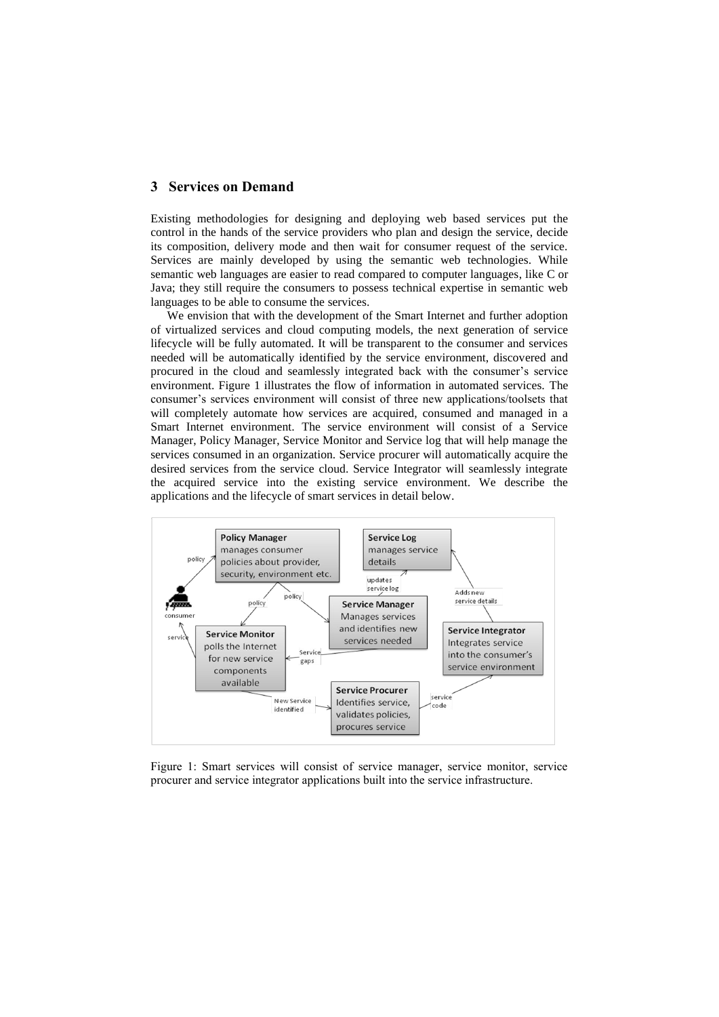### **3 Services on Demand**

Existing methodologies for designing and deploying web based services put the control in the hands of the service providers who plan and design the service, decide its composition, delivery mode and then wait for consumer request of the service. Services are mainly developed by using the semantic web technologies. While semantic web languages are easier to read compared to computer languages, like C or Java; they still require the consumers to possess technical expertise in semantic web languages to be able to consume the services.

We envision that with the development of the Smart Internet and further adoption of virtualized services and cloud computing models, the next generation of service lifecycle will be fully automated. It will be transparent to the consumer and services needed will be automatically identified by the service environment, discovered and procured in the cloud and seamlessly integrated back with the consumer's service environment. Figure 1 illustrates the flow of information in automated services. The consumer's services environment will consist of three new applications/toolsets that will completely automate how services are acquired, consumed and managed in a Smart Internet environment. The service environment will consist of a Service Manager, Policy Manager, Service Monitor and Service log that will help manage the services consumed in an organization. Service procurer will automatically acquire the desired services from the service cloud. Service Integrator will seamlessly integrate the acquired service into the existing service environment. We describe the applications and the lifecycle of smart services in detail below.



Figure 1: Smart services will consist of service manager, service monitor, service procurer and service integrator applications built into the service infrastructure.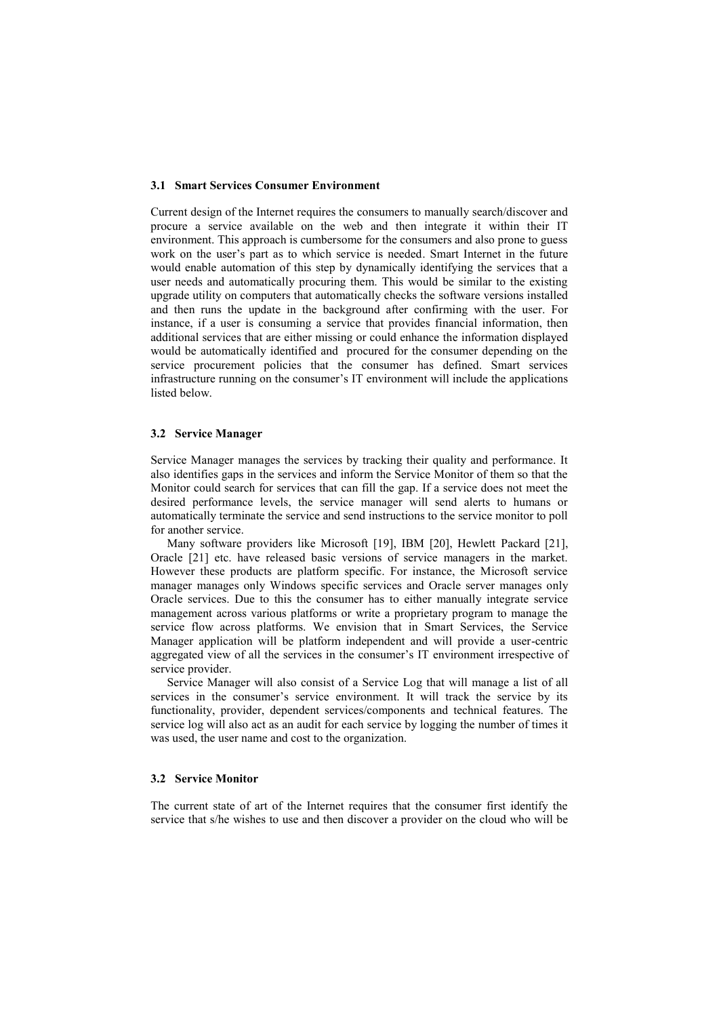### **3.1 Smart Services Consumer Environment**

Current design of the Internet requires the consumers to manually search/discover and procure a service available on the web and then integrate it within their IT environment. This approach is cumbersome for the consumers and also prone to guess work on the user"s part as to which service is needed. Smart Internet in the future would enable automation of this step by dynamically identifying the services that a user needs and automatically procuring them. This would be similar to the existing upgrade utility on computers that automatically checks the software versions installed and then runs the update in the background after confirming with the user. For instance, if a user is consuming a service that provides financial information, then additional services that are either missing or could enhance the information displayed would be automatically identified and procured for the consumer depending on the service procurement policies that the consumer has defined. Smart services infrastructure running on the consumer"s IT environment will include the applications listed below.

#### **3.2 Service Manager**

Service Manager manages the services by tracking their quality and performance. It also identifies gaps in the services and inform the Service Monitor of them so that the Monitor could search for services that can fill the gap. If a service does not meet the desired performance levels, the service manager will send alerts to humans or automatically terminate the service and send instructions to the service monitor to poll for another service.

Many software providers like Microsoft [19], IBM [20], Hewlett Packard [21], Oracle [21] etc. have released basic versions of service managers in the market. However these products are platform specific. For instance, the Microsoft service manager manages only Windows specific services and Oracle server manages only Oracle services. Due to this the consumer has to either manually integrate service management across various platforms or write a proprietary program to manage the service flow across platforms. We envision that in Smart Services, the Service Manager application will be platform independent and will provide a user-centric aggregated view of all the services in the consumer's IT environment irrespective of service provider.

Service Manager will also consist of a Service Log that will manage a list of all services in the consumer's service environment. It will track the service by its functionality, provider, dependent services/components and technical features. The service log will also act as an audit for each service by logging the number of times it was used, the user name and cost to the organization.

#### **3.2 Service Monitor**

The current state of art of the Internet requires that the consumer first identify the service that s/he wishes to use and then discover a provider on the cloud who will be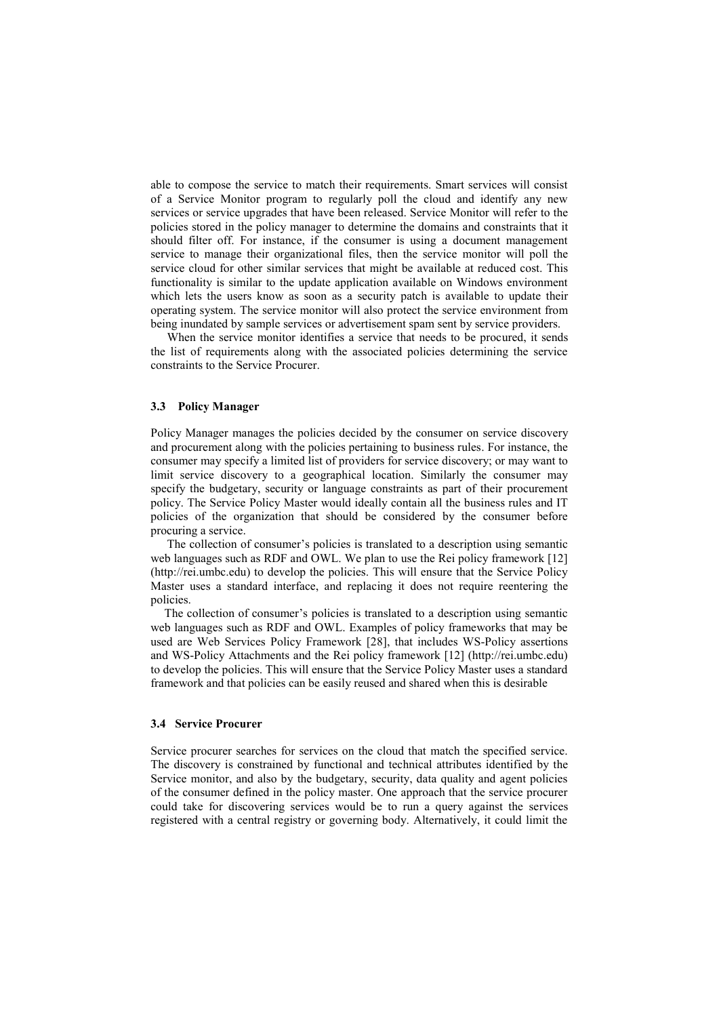able to compose the service to match their requirements. Smart services will consist of a Service Monitor program to regularly poll the cloud and identify any new services or service upgrades that have been released. Service Monitor will refer to the policies stored in the policy manager to determine the domains and constraints that it should filter off. For instance, if the consumer is using a document management service to manage their organizational files, then the service monitor will poll the service cloud for other similar services that might be available at reduced cost. This functionality is similar to the update application available on Windows environment which lets the users know as soon as a security patch is available to update their operating system. The service monitor will also protect the service environment from being inundated by sample services or advertisement spam sent by service providers.

When the service monitor identifies a service that needs to be procured, it sends the list of requirements along with the associated policies determining the service constraints to the Service Procurer.

### **3.3 Policy Manager**

Policy Manager manages the policies decided by the consumer on service discovery and procurement along with the policies pertaining to business rules. For instance, the consumer may specify a limited list of providers for service discovery; or may want to limit service discovery to a geographical location. Similarly the consumer may specify the budgetary, security or language constraints as part of their procurement policy. The Service Policy Master would ideally contain all the business rules and IT policies of the organization that should be considered by the consumer before procuring a service.

The collection of consumer's policies is translated to a description using semantic web languages such as RDF and OWL. We plan to use the Rei policy framework [12] (http://rei.umbc.edu) to develop the policies. This will ensure that the Service Policy Master uses a standard interface, and replacing it does not require reentering the policies.

The collection of consumer's policies is translated to a description using semantic web languages such as RDF and OWL. Examples of policy frameworks that may be used are Web Services Policy Framework [28], that includes WS-Policy assertions and WS-Policy Attachments and the Rei policy framework [12] (http://rei.umbc.edu) to develop the policies. This will ensure that the Service Policy Master uses a standard framework and that policies can be easily reused and shared when this is desirable

### **3.4 Service Procurer**

Service procurer searches for services on the cloud that match the specified service. The discovery is constrained by functional and technical attributes identified by the Service monitor, and also by the budgetary, security, data quality and agent policies of the consumer defined in the policy master. One approach that the service procurer could take for discovering services would be to run a query against the services registered with a central registry or governing body. Alternatively, it could limit the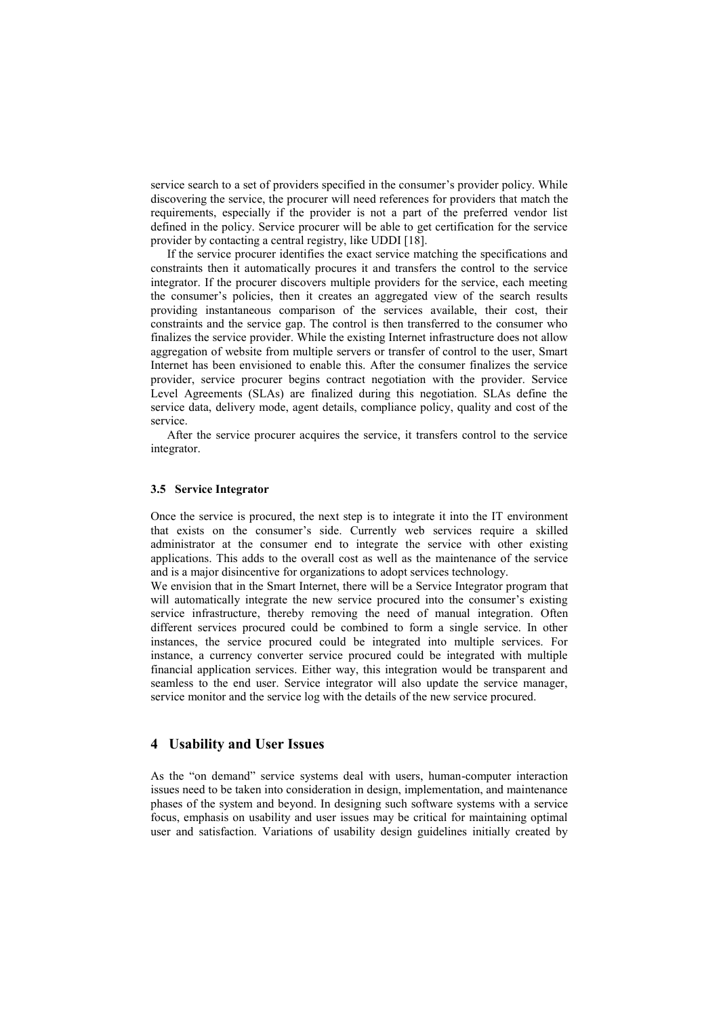service search to a set of providers specified in the consumer's provider policy. While discovering the service, the procurer will need references for providers that match the requirements, especially if the provider is not a part of the preferred vendor list defined in the policy. Service procurer will be able to get certification for the service provider by contacting a central registry, like UDDI [18].

If the service procurer identifies the exact service matching the specifications and constraints then it automatically procures it and transfers the control to the service integrator. If the procurer discovers multiple providers for the service, each meeting the consumer's policies, then it creates an aggregated view of the search results providing instantaneous comparison of the services available, their cost, their constraints and the service gap. The control is then transferred to the consumer who finalizes the service provider. While the existing Internet infrastructure does not allow aggregation of website from multiple servers or transfer of control to the user, Smart Internet has been envisioned to enable this. After the consumer finalizes the service provider, service procurer begins contract negotiation with the provider. Service Level Agreements (SLAs) are finalized during this negotiation. SLAs define the service data, delivery mode, agent details, compliance policy, quality and cost of the service.

After the service procurer acquires the service, it transfers control to the service integrator.

### **3.5 Service Integrator**

Once the service is procured, the next step is to integrate it into the IT environment that exists on the consumer's side. Currently web services require a skilled administrator at the consumer end to integrate the service with other existing applications. This adds to the overall cost as well as the maintenance of the service and is a major disincentive for organizations to adopt services technology.

We envision that in the Smart Internet, there will be a Service Integrator program that will automatically integrate the new service procured into the consumer's existing service infrastructure, thereby removing the need of manual integration. Often different services procured could be combined to form a single service. In other instances, the service procured could be integrated into multiple services. For instance, a currency converter service procured could be integrated with multiple financial application services. Either way, this integration would be transparent and seamless to the end user. Service integrator will also update the service manager, service monitor and the service log with the details of the new service procured.

### **4 Usability and User Issues**

As the "on demand" service systems deal with users, human-computer interaction issues need to be taken into consideration in design, implementation, and maintenance phases of the system and beyond. In designing such software systems with a service focus, emphasis on usability and user issues may be critical for maintaining optimal user and satisfaction. Variations of usability design guidelines initially created by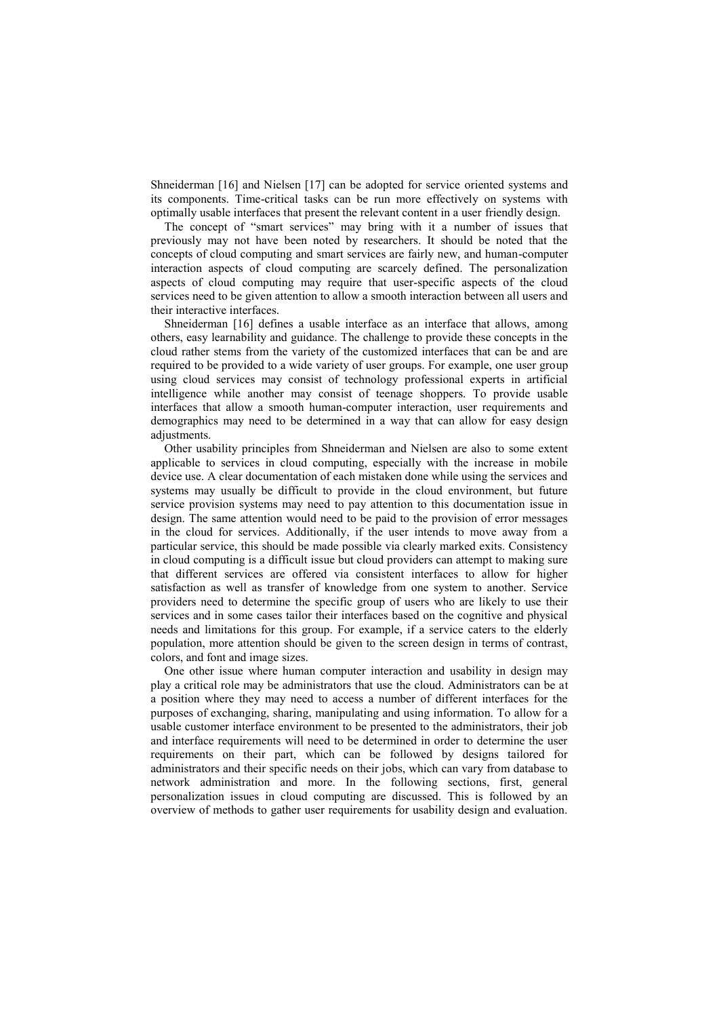Shneiderman [16] and Nielsen [17] can be adopted for service oriented systems and its components. Time-critical tasks can be run more effectively on systems with optimally usable interfaces that present the relevant content in a user friendly design.

The concept of "smart services" may bring with it a number of issues that previously may not have been noted by researchers. It should be noted that the concepts of cloud computing and smart services are fairly new, and human-computer interaction aspects of cloud computing are scarcely defined. The personalization aspects of cloud computing may require that user-specific aspects of the cloud services need to be given attention to allow a smooth interaction between all users and their interactive interfaces.

Shneiderman [16] defines a usable interface as an interface that allows, among others, easy learnability and guidance. The challenge to provide these concepts in the cloud rather stems from the variety of the customized interfaces that can be and are required to be provided to a wide variety of user groups. For example, one user group using cloud services may consist of technology professional experts in artificial intelligence while another may consist of teenage shoppers. To provide usable interfaces that allow a smooth human-computer interaction, user requirements and demographics may need to be determined in a way that can allow for easy design adjustments.

Other usability principles from Shneiderman and Nielsen are also to some extent applicable to services in cloud computing, especially with the increase in mobile device use. A clear documentation of each mistaken done while using the services and systems may usually be difficult to provide in the cloud environment, but future service provision systems may need to pay attention to this documentation issue in design. The same attention would need to be paid to the provision of error messages in the cloud for services. Additionally, if the user intends to move away from a particular service, this should be made possible via clearly marked exits. Consistency in cloud computing is a difficult issue but cloud providers can attempt to making sure that different services are offered via consistent interfaces to allow for higher satisfaction as well as transfer of knowledge from one system to another. Service providers need to determine the specific group of users who are likely to use their services and in some cases tailor their interfaces based on the cognitive and physical needs and limitations for this group. For example, if a service caters to the elderly population, more attention should be given to the screen design in terms of contrast, colors, and font and image sizes.

One other issue where human computer interaction and usability in design may play a critical role may be administrators that use the cloud. Administrators can be at a position where they may need to access a number of different interfaces for the purposes of exchanging, sharing, manipulating and using information. To allow for a usable customer interface environment to be presented to the administrators, their job and interface requirements will need to be determined in order to determine the user requirements on their part, which can be followed by designs tailored for administrators and their specific needs on their jobs, which can vary from database to network administration and more. In the following sections, first, general personalization issues in cloud computing are discussed. This is followed by an overview of methods to gather user requirements for usability design and evaluation.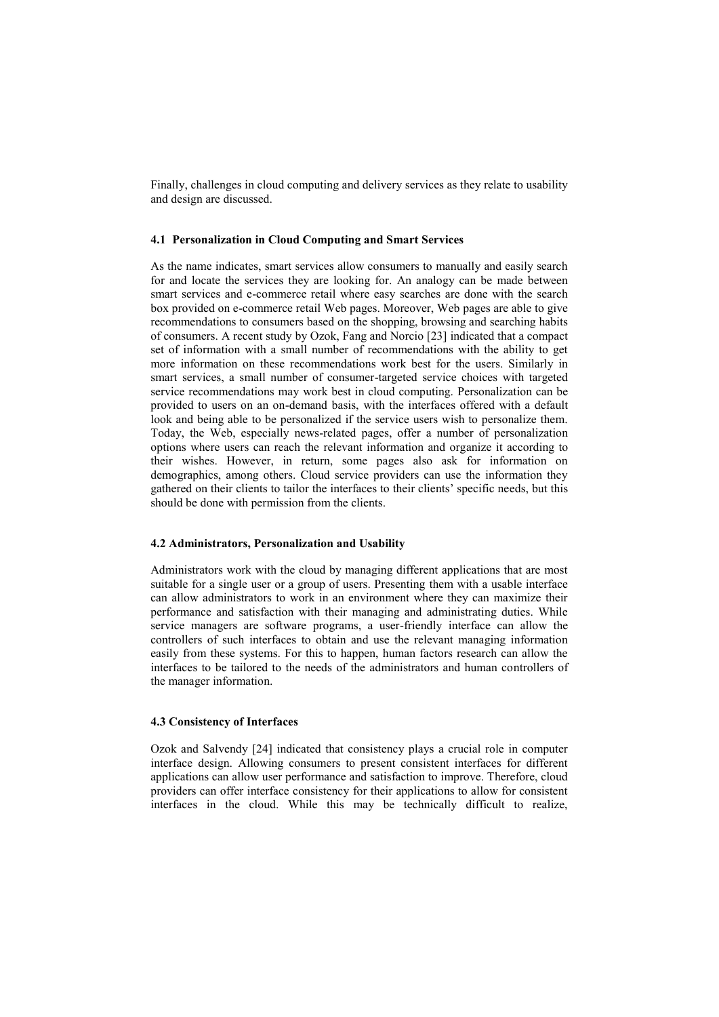Finally, challenges in cloud computing and delivery services as they relate to usability and design are discussed.

### **4.1 Personalization in Cloud Computing and Smart Services**

As the name indicates, smart services allow consumers to manually and easily search for and locate the services they are looking for. An analogy can be made between smart services and e-commerce retail where easy searches are done with the search box provided on e-commerce retail Web pages. Moreover, Web pages are able to give recommendations to consumers based on the shopping, browsing and searching habits of consumers. A recent study by Ozok, Fang and Norcio [23] indicated that a compact set of information with a small number of recommendations with the ability to get more information on these recommendations work best for the users. Similarly in smart services, a small number of consumer-targeted service choices with targeted service recommendations may work best in cloud computing. Personalization can be provided to users on an on-demand basis, with the interfaces offered with a default look and being able to be personalized if the service users wish to personalize them. Today, the Web, especially news-related pages, offer a number of personalization options where users can reach the relevant information and organize it according to their wishes. However, in return, some pages also ask for information on demographics, among others. Cloud service providers can use the information they gathered on their clients to tailor the interfaces to their clients" specific needs, but this should be done with permission from the clients.

#### **4.2 Administrators, Personalization and Usability**

Administrators work with the cloud by managing different applications that are most suitable for a single user or a group of users. Presenting them with a usable interface can allow administrators to work in an environment where they can maximize their performance and satisfaction with their managing and administrating duties. While service managers are software programs, a user-friendly interface can allow the controllers of such interfaces to obtain and use the relevant managing information easily from these systems. For this to happen, human factors research can allow the interfaces to be tailored to the needs of the administrators and human controllers of the manager information.

### **4.3 Consistency of Interfaces**

Ozok and Salvendy [24] indicated that consistency plays a crucial role in computer interface design. Allowing consumers to present consistent interfaces for different applications can allow user performance and satisfaction to improve. Therefore, cloud providers can offer interface consistency for their applications to allow for consistent interfaces in the cloud. While this may be technically difficult to realize,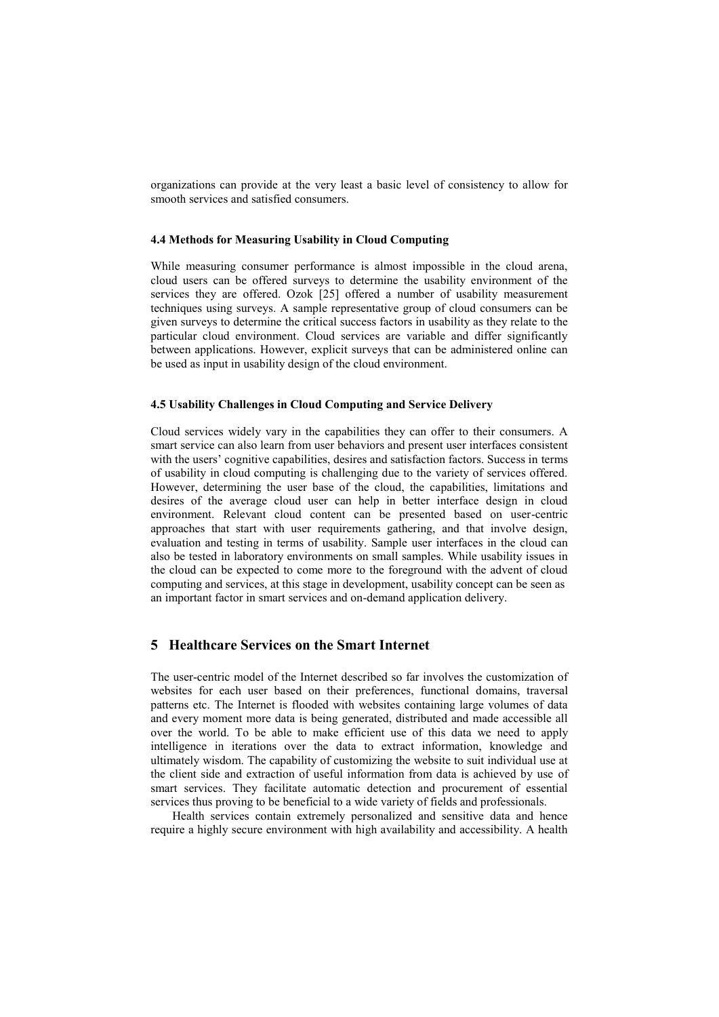organizations can provide at the very least a basic level of consistency to allow for smooth services and satisfied consumers.

### **4.4 Methods for Measuring Usability in Cloud Computing**

While measuring consumer performance is almost impossible in the cloud arena, cloud users can be offered surveys to determine the usability environment of the services they are offered. Ozok [25] offered a number of usability measurement techniques using surveys. A sample representative group of cloud consumers can be given surveys to determine the critical success factors in usability as they relate to the particular cloud environment. Cloud services are variable and differ significantly between applications. However, explicit surveys that can be administered online can be used as input in usability design of the cloud environment.

### **4.5 Usability Challenges in Cloud Computing and Service Delivery**

Cloud services widely vary in the capabilities they can offer to their consumers. A smart service can also learn from user behaviors and present user interfaces consistent with the users' cognitive capabilities, desires and satisfaction factors. Success in terms of usability in cloud computing is challenging due to the variety of services offered. However, determining the user base of the cloud, the capabilities, limitations and desires of the average cloud user can help in better interface design in cloud environment. Relevant cloud content can be presented based on user-centric approaches that start with user requirements gathering, and that involve design, evaluation and testing in terms of usability. Sample user interfaces in the cloud can also be tested in laboratory environments on small samples. While usability issues in the cloud can be expected to come more to the foreground with the advent of cloud computing and services, at this stage in development, usability concept can be seen as an important factor in smart services and on-demand application delivery.

# **5 Healthcare Services on the Smart Internet**

The user-centric model of the Internet described so far involves the customization of websites for each user based on their preferences, functional domains, traversal patterns etc. The Internet is flooded with websites containing large volumes of data and every moment more data is being generated, distributed and made accessible all over the world. To be able to make efficient use of this data we need to apply intelligence in iterations over the data to extract information, knowledge and ultimately wisdom. The capability of customizing the website to suit individual use at the client side and extraction of useful information from data is achieved by use of smart services. They facilitate automatic detection and procurement of essential services thus proving to be beneficial to a wide variety of fields and professionals.

Health services contain extremely personalized and sensitive data and hence require a highly secure environment with high availability and accessibility. A health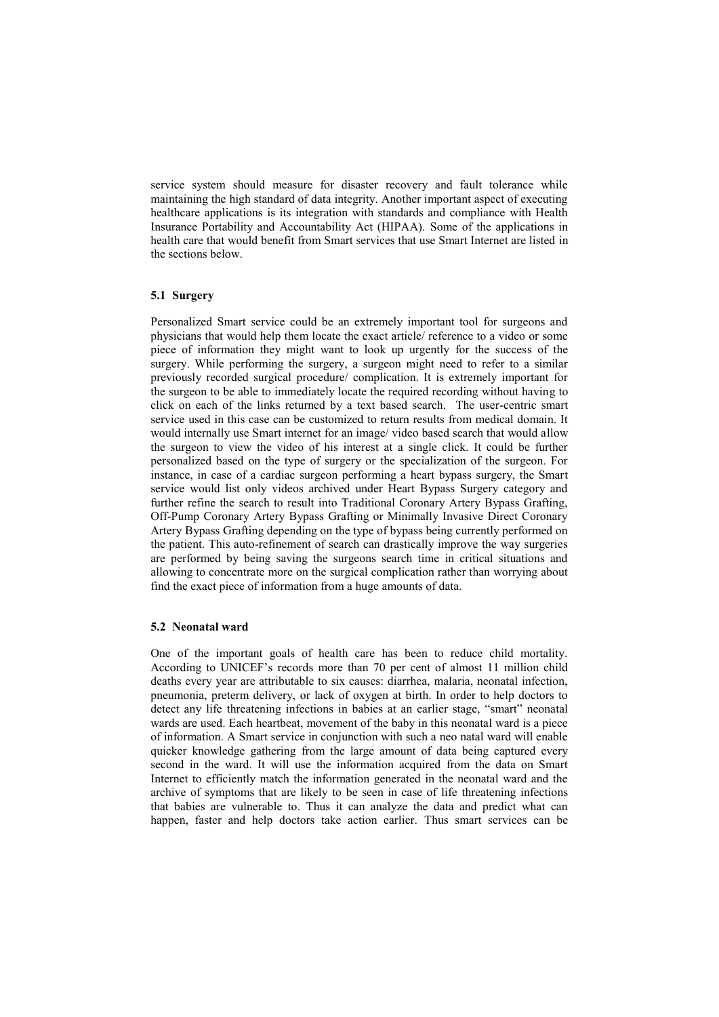service system should measure for disaster recovery and fault tolerance while maintaining the high standard of data integrity. Another important aspect of executing healthcare applications is its integration with standards and compliance with Health Insurance Portability and Accountability Act (HIPAA). Some of the applications in health care that would benefit from Smart services that use Smart Internet are listed in the sections below.

### **5.1 Surgery**

Personalized Smart service could be an extremely important tool for surgeons and physicians that would help them locate the exact article/ reference to a video or some piece of information they might want to look up urgently for the success of the surgery. While performing the surgery, a surgeon might need to refer to a similar previously recorded surgical procedure/ complication. It is extremely important for the surgeon to be able to immediately locate the required recording without having to click on each of the links returned by a text based search. The user-centric smart service used in this case can be customized to return results from medical domain. It would internally use Smart internet for an image/ video based search that would allow the surgeon to view the video of his interest at a single click. It could be further personalized based on the type of surgery or the specialization of the surgeon. For instance, in case of a cardiac surgeon performing a heart bypass surgery, the Smart service would list only videos archived under Heart Bypass Surgery category and further refine the search to result into Traditional Coronary Artery Bypass Grafting, Off-Pump Coronary Artery Bypass Grafting or Minimally Invasive Direct Coronary Artery Bypass Grafting depending on the type of bypass being currently performed on the patient. This auto-refinement of search can drastically improve the way surgeries are performed by being saving the surgeons search time in critical situations and allowing to concentrate more on the surgical complication rather than worrying about find the exact piece of information from a huge amounts of data.

### **5.2 Neonatal ward**

One of the important goals of health care has been to reduce child mortality. According to UNICEF"s records more than 70 per cent of almost 11 million child deaths every year are attributable to six causes: diarrhea, malaria, neonatal infection, pneumonia, preterm delivery, or lack of oxygen at birth. In order to help doctors to detect any life threatening infections in babies at an earlier stage, "smart" neonatal wards are used. Each heartbeat, movement of the baby in this neonatal ward is a piece of information. A Smart service in conjunction with such a neo natal ward will enable quicker knowledge gathering from the large amount of data being captured every second in the ward. It will use the information acquired from the data on Smart Internet to efficiently match the information generated in the neonatal ward and the archive of symptoms that are likely to be seen in case of life threatening infections that babies are vulnerable to. Thus it can analyze the data and predict what can happen, faster and help doctors take action earlier. Thus smart services can be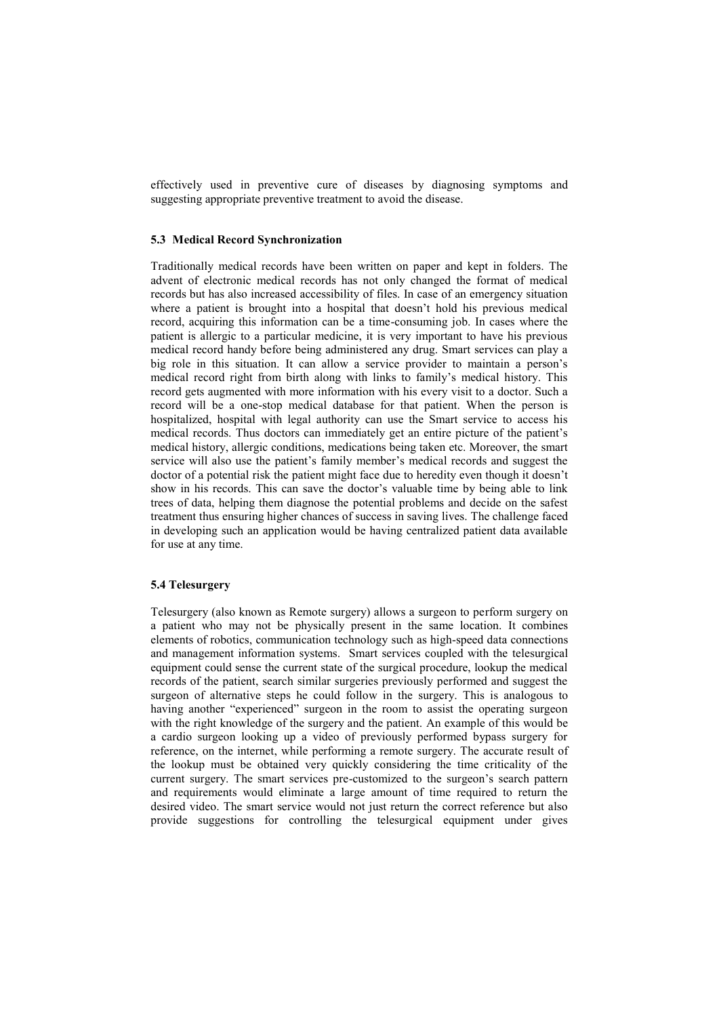effectively used in preventive cure of diseases by diagnosing symptoms and suggesting appropriate preventive treatment to avoid the disease.

### **5.3 Medical Record Synchronization**

Traditionally medical records have been written on paper and kept in folders. The advent of electronic medical records has not only changed the format of medical records but has also increased accessibility of files. In case of an emergency situation where a patient is brought into a hospital that doesn"t hold his previous medical record, acquiring this information can be a time-consuming job. In cases where the patient is allergic to a particular medicine, it is very important to have his previous medical record handy before being administered any drug. Smart services can play a big role in this situation. It can allow a service provider to maintain a person"s medical record right from birth along with links to family"s medical history. This record gets augmented with more information with his every visit to a doctor. Such a record will be a one-stop medical database for that patient. When the person is hospitalized, hospital with legal authority can use the Smart service to access his medical records. Thus doctors can immediately get an entire picture of the patient"s medical history, allergic conditions, medications being taken etc. Moreover, the smart service will also use the patient's family member's medical records and suggest the doctor of a potential risk the patient might face due to heredity even though it doesn"t show in his records. This can save the doctor's valuable time by being able to link trees of data, helping them diagnose the potential problems and decide on the safest treatment thus ensuring higher chances of success in saving lives. The challenge faced in developing such an application would be having centralized patient data available for use at any time.

### **5.4 Telesurgery**

Telesurgery (also known as Remote surgery) allows a surgeon to perform surgery on a patient who may not be physically present in the same location. It combines elements of robotics, communication technology such as high-speed data connections and management information systems. Smart services coupled with the telesurgical equipment could sense the current state of the surgical procedure, lookup the medical records of the patient, search similar surgeries previously performed and suggest the surgeon of alternative steps he could follow in the surgery. This is analogous to having another "experienced" surgeon in the room to assist the operating surgeon with the right knowledge of the surgery and the patient. An example of this would be a cardio surgeon looking up a video of previously performed bypass surgery for reference, on the internet, while performing a remote surgery. The accurate result of the lookup must be obtained very quickly considering the time criticality of the current surgery. The smart services pre-customized to the surgeon"s search pattern and requirements would eliminate a large amount of time required to return the desired video. The smart service would not just return the correct reference but also provide suggestions for controlling the telesurgical equipment under gives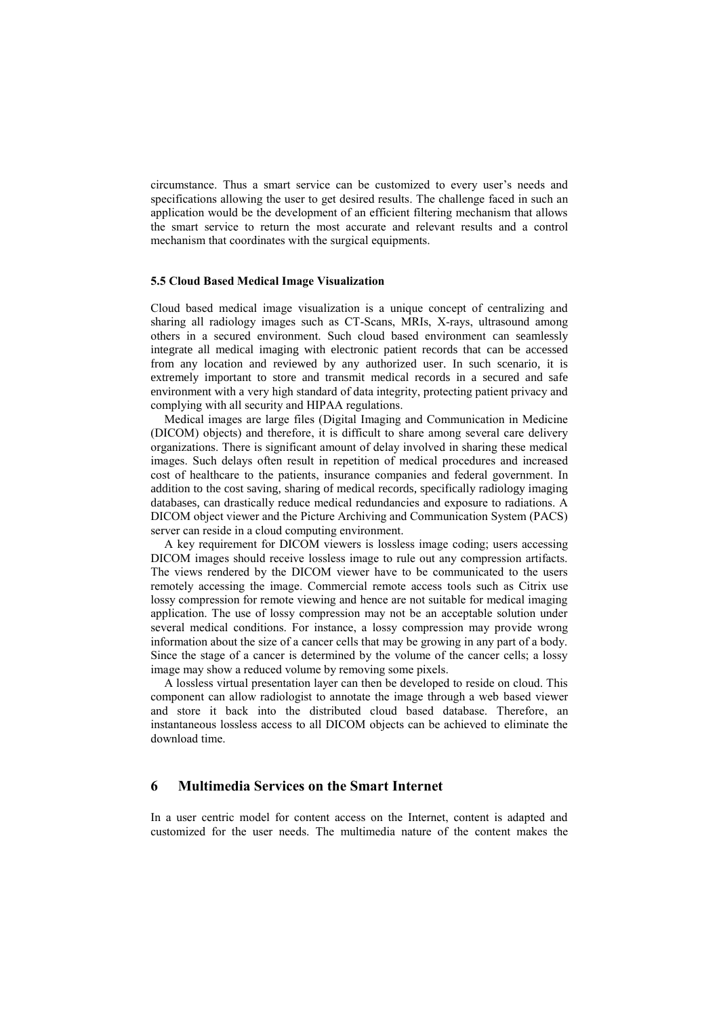circumstance. Thus a smart service can be customized to every user"s needs and specifications allowing the user to get desired results. The challenge faced in such an application would be the development of an efficient filtering mechanism that allows the smart service to return the most accurate and relevant results and a control mechanism that coordinates with the surgical equipments.

### **5.5 Cloud Based Medical Image Visualization**

Cloud based medical image visualization is a unique concept of centralizing and sharing all radiology images such as CT-Scans, MRIs, X-rays, ultrasound among others in a secured environment. Such cloud based environment can seamlessly integrate all medical imaging with electronic patient records that can be accessed from any location and reviewed by any authorized user. In such scenario, it is extremely important to store and transmit medical records in a secured and safe environment with a very high standard of data integrity, protecting patient privacy and complying with all security and HIPAA regulations.

Medical images are large files (Digital Imaging and Communication in Medicine (DICOM) objects) and therefore, it is difficult to share among several care delivery organizations. There is significant amount of delay involved in sharing these medical images. Such delays often result in repetition of medical procedures and increased cost of healthcare to the patients, insurance companies and federal government. In addition to the cost saving, sharing of medical records, specifically radiology imaging databases, can drastically reduce medical redundancies and exposure to radiations. A DICOM object viewer and the Picture Archiving and Communication System (PACS) server can reside in a cloud computing environment.

A key requirement for DICOM viewers is lossless image coding; users accessing DICOM images should receive lossless image to rule out any compression artifacts. The views rendered by the DICOM viewer have to be communicated to the users remotely accessing the image. Commercial remote access tools such as Citrix use lossy compression for remote viewing and hence are not suitable for medical imaging application. The use of lossy compression may not be an acceptable solution under several medical conditions. For instance, a lossy compression may provide wrong information about the size of a cancer cells that may be growing in any part of a body. Since the stage of a cancer is determined by the volume of the cancer cells; a lossy image may show a reduced volume by removing some pixels.

A lossless virtual presentation layer can then be developed to reside on cloud. This component can allow radiologist to annotate the image through a web based viewer and store it back into the distributed cloud based database. Therefore, an instantaneous lossless access to all DICOM objects can be achieved to eliminate the download time.

# **6 Multimedia Services on the Smart Internet**

In a user centric model for content access on the Internet, content is adapted and customized for the user needs. The multimedia nature of the content makes the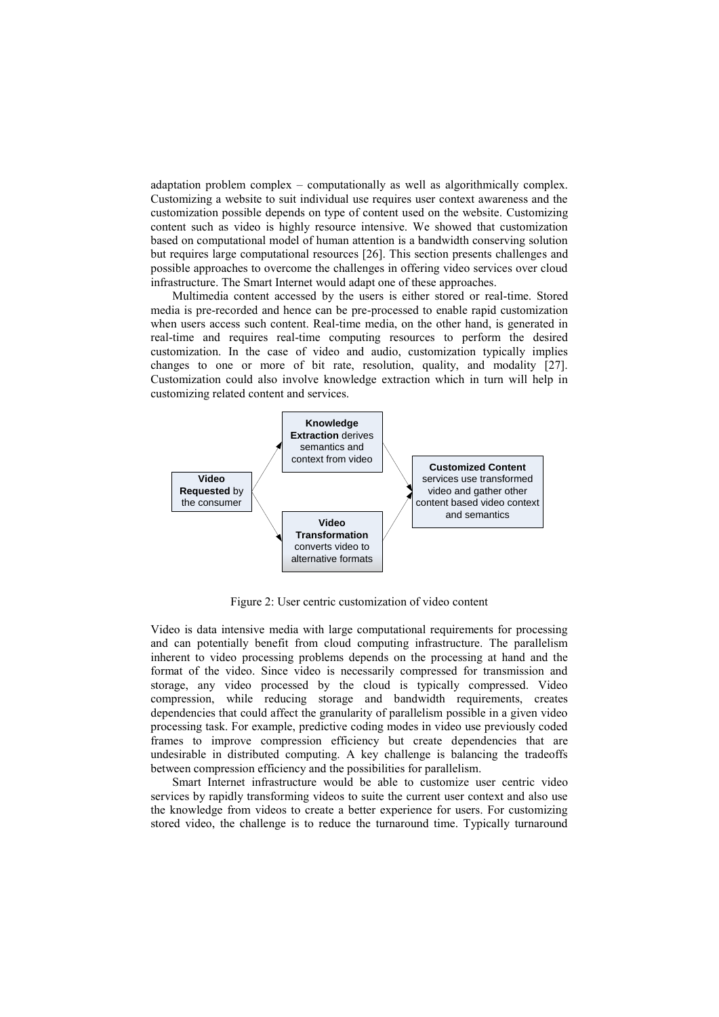adaptation problem complex – computationally as well as algorithmically complex. Customizing a website to suit individual use requires user context awareness and the customization possible depends on type of content used on the website. Customizing content such as video is highly resource intensive. We showed that customization based on computational model of human attention is a bandwidth conserving solution but requires large computational resources [26]. This section presents challenges and possible approaches to overcome the challenges in offering video services over cloud infrastructure. The Smart Internet would adapt one of these approaches.

Multimedia content accessed by the users is either stored or real-time. Stored media is pre-recorded and hence can be pre-processed to enable rapid customization when users access such content. Real-time media, on the other hand, is generated in real-time and requires real-time computing resources to perform the desired customization. In the case of video and audio, customization typically implies changes to one or more of bit rate, resolution, quality, and modality [27]. Customization could also involve knowledge extraction which in turn will help in customizing related content and services.



Figure 2: User centric customization of video content

Video is data intensive media with large computational requirements for processing and can potentially benefit from cloud computing infrastructure. The parallelism inherent to video processing problems depends on the processing at hand and the format of the video. Since video is necessarily compressed for transmission and storage, any video processed by the cloud is typically compressed. Video compression, while reducing storage and bandwidth requirements, creates dependencies that could affect the granularity of parallelism possible in a given video processing task. For example, predictive coding modes in video use previously coded frames to improve compression efficiency but create dependencies that are undesirable in distributed computing. A key challenge is balancing the tradeoffs between compression efficiency and the possibilities for parallelism.

Smart Internet infrastructure would be able to customize user centric video services by rapidly transforming videos to suite the current user context and also use the knowledge from videos to create a better experience for users. For customizing stored video, the challenge is to reduce the turnaround time. Typically turnaround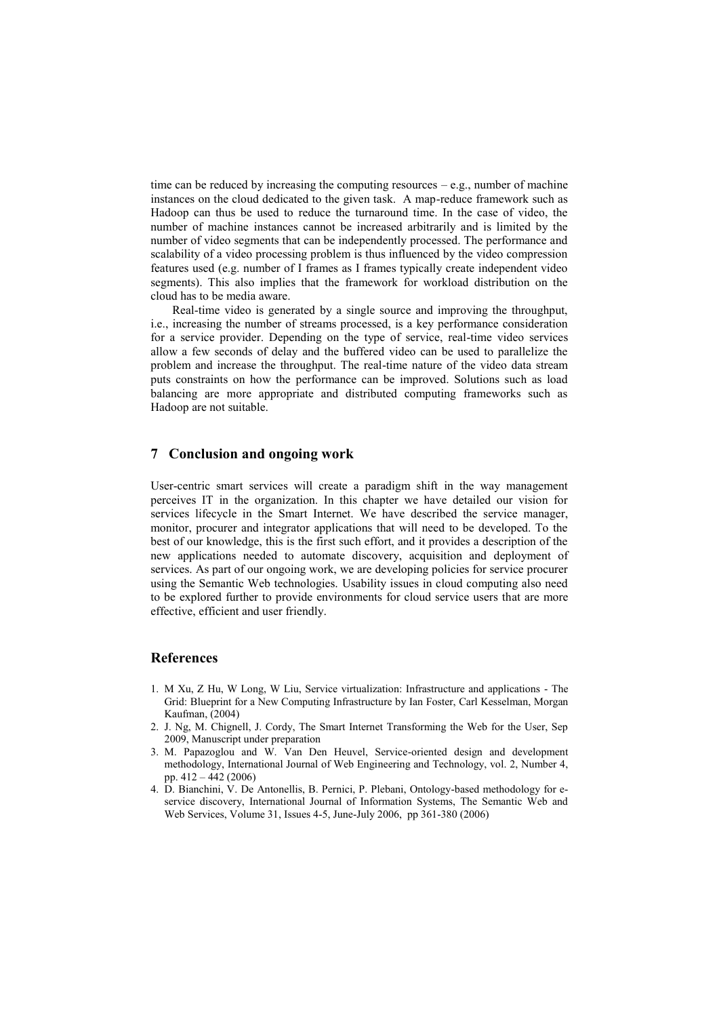time can be reduced by increasing the computing resources – e.g., number of machine instances on the cloud dedicated to the given task. A map-reduce framework such as Hadoop can thus be used to reduce the turnaround time. In the case of video, the number of machine instances cannot be increased arbitrarily and is limited by the number of video segments that can be independently processed. The performance and scalability of a video processing problem is thus influenced by the video compression features used (e.g. number of I frames as I frames typically create independent video segments). This also implies that the framework for workload distribution on the cloud has to be media aware.

Real-time video is generated by a single source and improving the throughput, i.e., increasing the number of streams processed, is a key performance consideration for a service provider. Depending on the type of service, real-time video services allow a few seconds of delay and the buffered video can be used to parallelize the problem and increase the throughput. The real-time nature of the video data stream puts constraints on how the performance can be improved. Solutions such as load balancing are more appropriate and distributed computing frameworks such as Hadoop are not suitable.

# **7 Conclusion and ongoing work**

User-centric smart services will create a paradigm shift in the way management perceives IT in the organization. In this chapter we have detailed our vision for services lifecycle in the Smart Internet. We have described the service manager, monitor, procurer and integrator applications that will need to be developed. To the best of our knowledge, this is the first such effort, and it provides a description of the new applications needed to automate discovery, acquisition and deployment of services. As part of our ongoing work, we are developing policies for service procurer using the Semantic Web technologies. Usability issues in cloud computing also need to be explored further to provide environments for cloud service users that are more effective, efficient and user friendly.

# **References**

- 1. M Xu, Z Hu, W Long, W Liu, Service virtualization: Infrastructure and applications The Grid: Blueprint for a New Computing Infrastructure by Ian Foster, Carl Kesselman, Morgan Kaufman, (2004)
- 2. J. Ng, M. Chignell, J. Cordy, The Smart Internet Transforming the Web for the User, Sep 2009, Manuscript under preparation
- 3. M. Papazoglou and W. Van Den Heuvel, Service-oriented design and development methodology, International Journal of Web Engineering and Technology, vol. 2, Number 4, pp. 412 – 442 (2006)
- 4. D. Bianchini, V. De Antonellis, B. Pernici, P. Plebani, Ontology-based methodology for eservice discovery, International Journal of Information Systems, The Semantic Web and Web Services, Volume 31, Issues 4-5, June-July 2006, pp 361-380 (2006)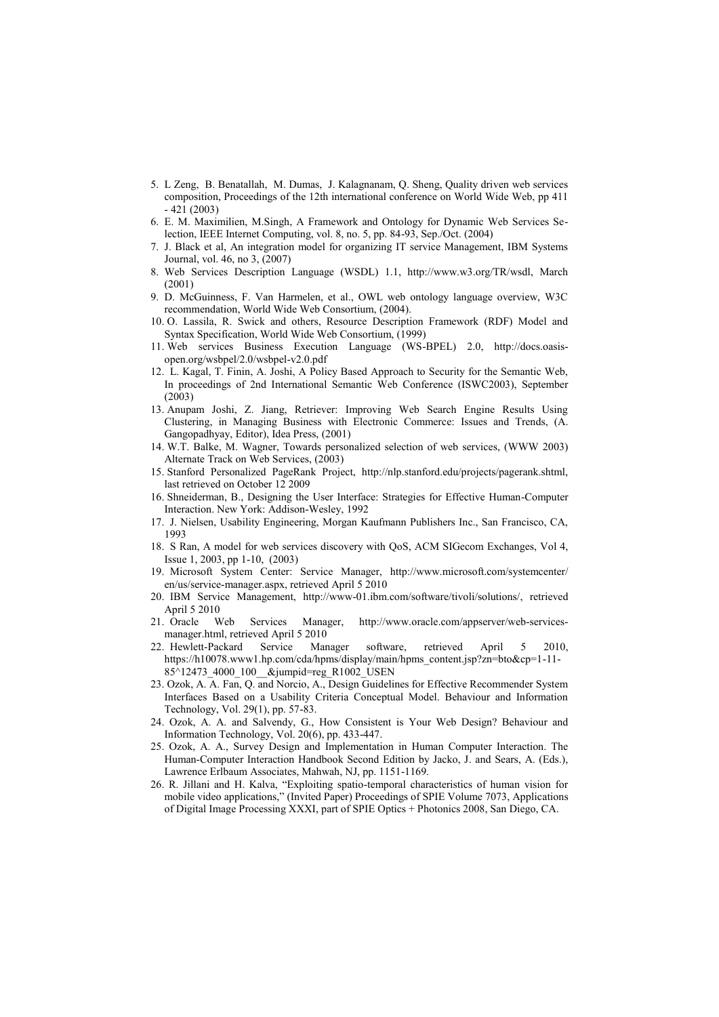- 5. L Zeng, B. Benatallah, M. Dumas, J. Kalagnanam, Q. Sheng, Quality driven web services composition, Proceedings of the 12th international conference on World Wide Web, pp 411 - 421 (2003)
- 6. E. M. Maximilien, M.Singh, A Framework and Ontology for Dynamic Web Services Selection, IEEE Internet Computing, vol. 8, no. 5, pp. 84-93, Sep./Oct. (2004)
- 7. J. Black et al, An integration model for organizing IT service Management, IBM Systems Journal, vol. 46, no 3, (2007)
- 8. Web Services Description Language (WSDL) 1.1, http://www.w3.org/TR/wsdl, March (2001)
- 9. D. McGuinness, F. Van Harmelen, et al., OWL web ontology language overview, W3C recommendation, World Wide Web Consortium, (2004).
- 10. O. Lassila, R. Swick and others, Resource Description Framework (RDF) Model and Syntax Specification, World Wide Web Consortium, (1999)
- 11. Web services Business Execution Language (WS-BPEL) 2.0, http://docs.oasisopen.org/wsbpel/2.0/wsbpel-v2.0.pdf
- 12. L. Kagal, T. Finin, A. Joshi, A Policy Based Approach to Security for the Semantic Web, In proceedings of 2nd International Semantic Web Conference (ISWC2003), September (2003)
- 13. Anupam Joshi, Z. Jiang, Retriever: Improving Web Search Engine Results Using Clustering, in Managing Business with Electronic Commerce: Issues and Trends, (A. Gangopadhyay, Editor), Idea Press, (2001)
- 14. W.T. Balke, M. Wagner, Towards personalized selection of web services, (WWW 2003) Alternate Track on Web Services, (2003)
- 15. Stanford Personalized PageRank Project, http://nlp.stanford.edu/projects/pagerank.shtml, last retrieved on October 12 2009
- 16. Shneiderman, B., Designing the User Interface: Strategies for Effective Human-Computer Interaction. New York: Addison-Wesley, 1992
- 17. J. Nielsen, Usability Engineering, Morgan Kaufmann Publishers Inc., San Francisco, CA, 1993
- 18. S Ran, A model for web services discovery with QoS, ACM SIGecom Exchanges, Vol 4, Issue 1, 2003, pp 1-10, (2003)
- 19. Microsoft System Center: Service Manager, http://www.microsoft.com/systemcenter/ en/us/service-manager.aspx, retrieved April 5 2010
- 20. IBM Service Management, http://www-01.ibm.com/software/tivoli/solutions/, retrieved April 5 2010
- 21. Oracle Web Services Manager, http://www.oracle.com/appserver/web-servicesmanager.html, retrieved April 5 2010
- 22. Hewlett-Packard Service Manager software, retrieved April 5 2010, https://h10078.www1.hp.com/cda/hpms/display/main/hpms\_content.jsp?zn=bto&cp=1-11-85^12473 4000 100 &jumpid=reg\_R1002\_USEN
- 23. Ozok, A. A. Fan, Q. and Norcio, A., Design Guidelines for Effective Recommender System Interfaces Based on a Usability Criteria Conceptual Model. Behaviour and Information Technology, Vol. 29(1), pp. 57-83.
- 24. Ozok, A. A. and Salvendy, G., How Consistent is Your Web Design? Behaviour and Information Technology, Vol. 20(6), pp. 433-447.
- 25. Ozok, A. A., Survey Design and Implementation in Human Computer Interaction. The Human-Computer Interaction Handbook Second Edition by Jacko, J. and Sears, A. (Eds.), Lawrence Erlbaum Associates, Mahwah, NJ, pp. 1151-1169.
- 26. R. Jillani and H. Kalva, "Exploiting spatio-temporal characteristics of human vision for mobile video applications," (Invited Paper) Proceedings of SPIE Volume 7073, Applications of Digital Image Processing XXXI, part of SPIE Optics + Photonics 2008, San Diego, CA.